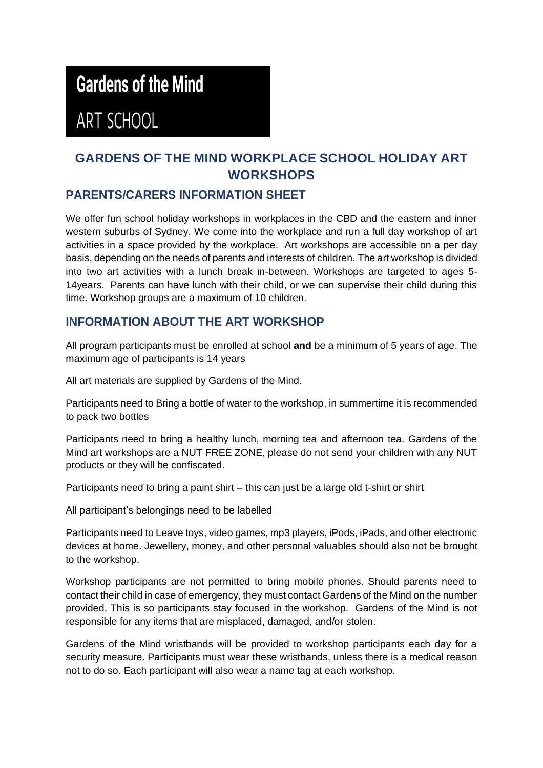# **Gardens of the Mind**

ART SCHOOL

## **GARDENS OF THE MIND WORKPLACE SCHOOL HOLIDAY ART WORKSHOPS**

### **PARENTS/CARERS INFORMATION SHEET**

We offer fun school holiday workshops in workplaces in the CBD and the eastern and inner western suburbs of Sydney. We come into the workplace and run a full day workshop of art activities in a space provided by the workplace. Art workshops are accessible on a per day basis, depending on the needs of parents and interests of children. The art workshop is divided into two art activities with a lunch break in-between. Workshops are targeted to ages 5- 14years. Parents can have lunch with their child, or we can supervise their child during this time. Workshop groups are a maximum of 10 children.

#### **INFORMATION ABOUT THE ART WORKSHOP**

All program participants must be enrolled at school **and** be a minimum of 5 years of age. The maximum age of participants is 14 years

All art materials are supplied by Gardens of the Mind.

Participants need to Bring a bottle of water to the workshop, in summertime it is recommended to pack two bottles

Participants need to bring a healthy lunch, morning tea and afternoon tea. Gardens of the Mind art workshops are a NUT FREE ZONE, please do not send your children with any NUT products or they will be confiscated.

Participants need to bring a paint shirt – this can just be a large old t-shirt or shirt

All participant's belongings need to be labelled

Participants need to Leave toys, video games, mp3 players, iPods, iPads, and other electronic devices at home. Jewellery, money, and other personal valuables should also not be brought to the workshop.

Workshop participants are not permitted to bring mobile phones. Should parents need to contact their child in case of emergency, they must contact Gardens of the Mind on the number provided. This is so participants stay focused in the workshop. Gardens of the Mind is not responsible for any items that are misplaced, damaged, and/or stolen.

Gardens of the Mind wristbands will be provided to workshop participants each day for a security measure. Participants must wear these wristbands, unless there is a medical reason not to do so. Each participant will also wear a name tag at each workshop.